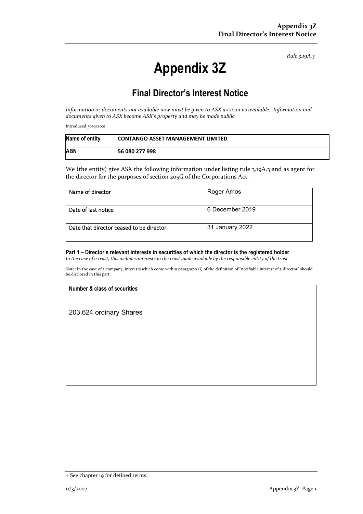*Rule 3.19A.3*

# **Appendix 3Z**

# **Final Director's Interest Notice**

*Information or documents not available now must be given to ASX as soon as available. Information and documents given to ASX become ASX's property and may be made public.*

Introduced 30/9/2001.

| Name of entity | <b>CONTANGO ASSET MANAGEMENT LIMITED</b> |
|----------------|------------------------------------------|
| <b>ABN</b>     | 56 080 277 998                           |

We (the entity) give ASX the following information under listing rule 3.19A.3 and as agent for the director for the purposes of section 205G of the Corporations Act.

| Name of director                         | Roger Amos      |
|------------------------------------------|-----------------|
| Date of last notice                      | 6 December 2019 |
| Date that director ceased to be director | 31 January 2022 |

## **Part 1 – Director's relevant interests in securities of which the director is the registered holder**

*In the case of a trust, this includes interests in the trust made available by the responsible entity of the trust*

Note: In the case of a company, interests which come within paragraph (i) of the definition of "notifiable interest of a director" should be disclosed in this part.

#### **Number & class of securities**

203,624 ordinary Shares

<sup>+</sup> See chapter 19 for defined terms.